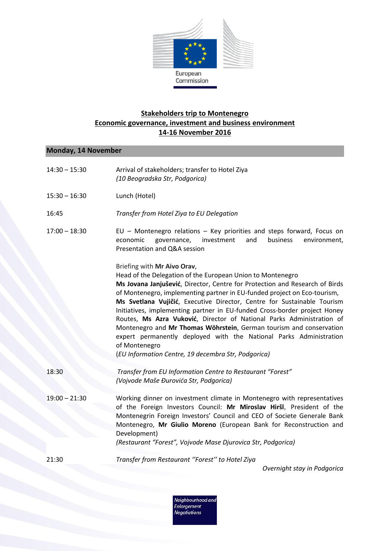

## **Stakeholders trip to Montenegro Economic governance, investment and business environment 14-16 November 2016**

## **Monday, 14 November**

| $14:30 - 15:30$ | Arrival of stakeholders; transfer to Hotel Ziya<br>(10 Beogradska Str, Podgorica)                                                                                                                                                                                                                                                                                                                                                                                                                                                                                                                                                                                                                          |
|-----------------|------------------------------------------------------------------------------------------------------------------------------------------------------------------------------------------------------------------------------------------------------------------------------------------------------------------------------------------------------------------------------------------------------------------------------------------------------------------------------------------------------------------------------------------------------------------------------------------------------------------------------------------------------------------------------------------------------------|
| $15:30 - 16:30$ | Lunch (Hotel)                                                                                                                                                                                                                                                                                                                                                                                                                                                                                                                                                                                                                                                                                              |
| 16:45           | Transfer from Hotel Ziya to EU Delegation                                                                                                                                                                                                                                                                                                                                                                                                                                                                                                                                                                                                                                                                  |
| $17:00 - 18:30$ | EU - Montenegro relations - Key priorities and steps forward, Focus on<br>governance,<br>investment<br>business<br>economic<br>and<br>environment,<br>Presentation and Q&A session                                                                                                                                                                                                                                                                                                                                                                                                                                                                                                                         |
|                 | Briefing with Mr Aivo Orav,<br>Head of the Delegation of the European Union to Montenegro<br>Ms Jovana Janjušević, Director, Centre for Protection and Research of Birds<br>of Montenegro, implementing partner in EU-funded project on Eco-tourism,<br>Ms Svetlana Vujičić, Executive Director, Centre for Sustainable Tourism<br>Initiatives, implementing partner in EU-funded Cross-border project Honey<br>Routes, Ms Azra Vuković, Director of National Parks Administration of<br>Montenegro and Mr Thomas Wöhrstein, German tourism and conservation<br>expert permanently deployed with the National Parks Administration<br>of Montenegro<br>(EU Information Centre, 19 decembra Str, Podgorica) |
| 18:30           | Transfer from EU Information Centre to Restaurant "Forest"<br>(Vojvode Maše Đurovića Str, Podgorica)                                                                                                                                                                                                                                                                                                                                                                                                                                                                                                                                                                                                       |
| $19:00 - 21:30$ | Working dinner on investment climate in Montenegro with representatives<br>of the Foreign Investors Council: Mr Miroslav Hiršl, President of the<br>Montenegrin Foreign Investors' Council and CEO of Societe Generale Bank<br>Montenegro, Mr Giulio Moreno (European Bank for Reconstruction and<br>Development)<br>(Restaurant "Forest", Vojvode Mase Djurovica Str, Podgorica)                                                                                                                                                                                                                                                                                                                          |
| 21:30           | Transfer from Restaurant "Forest" to Hotel Ziya<br>Overnight stay in Podgorica                                                                                                                                                                                                                                                                                                                                                                                                                                                                                                                                                                                                                             |

Neighbourhood and<br>Enlargement<br>Negotiations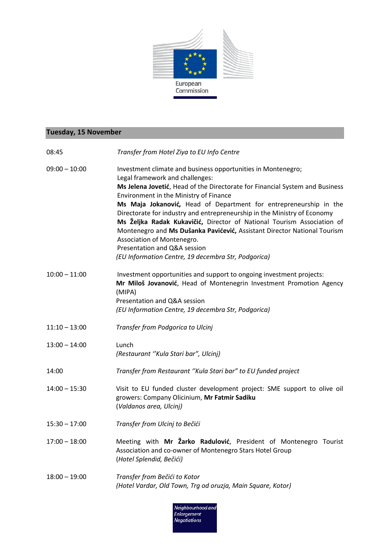

## **Tuesday, 15 November**

| 08:45           | Transfer from Hotel Ziya to EU Info Centre                                                                                                                                                                                                                                                                                                                                                                                                                                                                                                                                                                                                            |
|-----------------|-------------------------------------------------------------------------------------------------------------------------------------------------------------------------------------------------------------------------------------------------------------------------------------------------------------------------------------------------------------------------------------------------------------------------------------------------------------------------------------------------------------------------------------------------------------------------------------------------------------------------------------------------------|
| $09:00 - 10:00$ | Investment climate and business opportunities in Montenegro;<br>Legal framework and challenges:<br>Ms Jelena Jovetić, Head of the Directorate for Financial System and Business<br>Environment in the Ministry of Finance<br>Ms Maja Jokanović, Head of Department for entrepreneurship in the<br>Directorate for industry and entrepreneurship in the Ministry of Economy<br>Ms Željka Radak Kukavičić, Director of National Tourism Association of<br>Montenegro and Ms Dušanka Pavićević, Assistant Director National Tourism<br>Association of Montenegro.<br>Presentation and Q&A session<br>(EU Information Centre, 19 decembra Str, Podgorica) |
| $10:00 - 11:00$ | Investment opportunities and support to ongoing investment projects:<br>Mr Miloš Jovanović, Head of Montenegrin Investment Promotion Agency<br>(MIPA)<br>Presentation and Q&A session<br>(EU Information Centre, 19 decembra Str, Podgorica)                                                                                                                                                                                                                                                                                                                                                                                                          |
| $11:10 - 13:00$ | Transfer from Podgorica to Ulcinj                                                                                                                                                                                                                                                                                                                                                                                                                                                                                                                                                                                                                     |
| $13:00 - 14:00$ | Lunch<br>(Restaurant "Kula Stari bar", Ulcinj)                                                                                                                                                                                                                                                                                                                                                                                                                                                                                                                                                                                                        |
| 14:00           | Transfer from Restaurant "Kula Stari bar" to EU funded project                                                                                                                                                                                                                                                                                                                                                                                                                                                                                                                                                                                        |
| $14:00 - 15:30$ | Visit to EU funded cluster development project: SME support to olive oil<br>growers: Company Olicinium, Mr Fatmir Sadiku<br>(Valdanos area, Ulcinj)                                                                                                                                                                                                                                                                                                                                                                                                                                                                                                   |
| $15:30 - 17:00$ | Transfer from Ulcinj to Bečići                                                                                                                                                                                                                                                                                                                                                                                                                                                                                                                                                                                                                        |
| $17:00 - 18:00$ | Meeting with Mr Žarko Radulović, President of Montenegro Tourist<br>Association and co-owner of Montenegro Stars Hotel Group<br>(Hotel Splendid, Bečići)                                                                                                                                                                                                                                                                                                                                                                                                                                                                                              |
| $18:00 - 19:00$ | Transfer from Bečići to Kotor<br>(Hotel Vardar, Old Town, Trg od oruzja, Main Square, Kotor)                                                                                                                                                                                                                                                                                                                                                                                                                                                                                                                                                          |